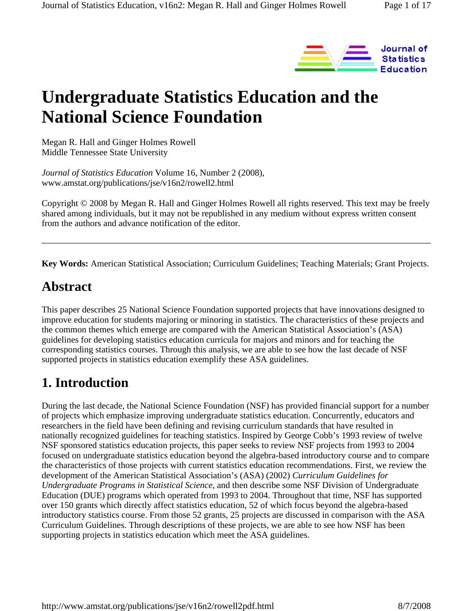

# **Undergraduate Statistics Education and the National Science Foundation**

Megan R. Hall and Ginger Holmes Rowell Middle Tennessee State University

*Journal of Statistics Education* Volume 16, Number 2 (2008), www.amstat.org/publications/jse/v16n2/rowell2.html

Copyright © 2008 by Megan R. Hall and Ginger Holmes Rowell all rights reserved. This text may be freely shared among individuals, but it may not be republished in any medium without express written consent from the authors and advance notification of the editor.

**Key Words:** American Statistical Association; Curriculum Guidelines; Teaching Materials; Grant Projects.

### **Abstract**

This paper describes 25 National Science Foundation supported projects that have innovations designed to improve education for students majoring or minoring in statistics. The characteristics of these projects and the common themes which emerge are compared with the American Statistical Association's (ASA) guidelines for developing statistics education curricula for majors and minors and for teaching the corresponding statistics courses. Through this analysis, we are able to see how the last decade of NSF supported projects in statistics education exemplify these ASA guidelines.

# **1. Introduction**

During the last decade, the National Science Foundation (NSF) has provided financial support for a number of projects which emphasize improving undergraduate statistics education. Concurrently, educators and researchers in the field have been defining and revising curriculum standards that have resulted in nationally recognized guidelines for teaching statistics. Inspired by George Cobb's 1993 review of twelve NSF sponsored statistics education projects, this paper seeks to review NSF projects from 1993 to 2004 focused on undergraduate statistics education beyond the algebra-based introductory course and to compare the characteristics of those projects with current statistics education recommendations. First, we review the development of the American Statistical Association's (ASA) (2002) *Curriculum Guidelines for Undergraduate Programs in Statistical Science*, and then describe some NSF Division of Undergraduate Education (DUE) programs which operated from 1993 to 2004. Throughout that time, NSF has supported over 150 grants which directly affect statistics education, 52 of which focus beyond the algebra-based introductory statistics course. From those 52 grants, 25 projects are discussed in comparison with the ASA Curriculum Guidelines. Through descriptions of these projects, we are able to see how NSF has been supporting projects in statistics education which meet the ASA guidelines.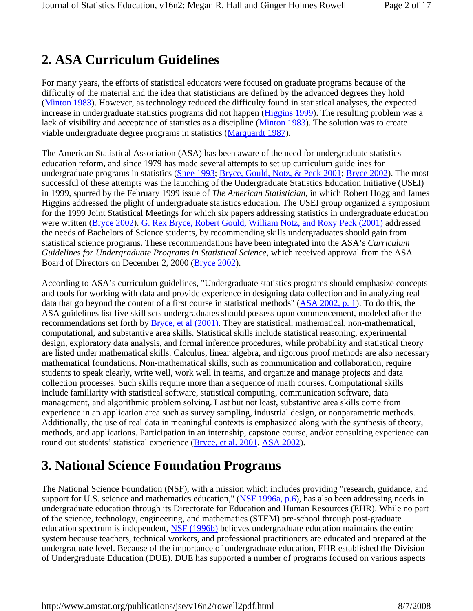# **2. ASA Curriculum Guidelines**

For many years, the efforts of statistical educators were focused on graduate programs because of the difficulty of the material and the idea that statisticians are defined by the advanced degrees they hold (Minton 1983). However, as technology reduced the difficulty found in statistical analyses, the expected increase in undergraduate statistics programs did not happen (*Higgins 1999*). The resulting problem was a lack of visibility and acceptance of statistics as a discipline (Minton 1983). The solution was to create viable undergraduate degree programs in statistics (Marquardt 1987).

The American Statistical Association (ASA) has been aware of the need for undergraduate statistics education reform, and since 1979 has made several attempts to set up curriculum guidelines for undergraduate programs in statistics (Snee 1993; Bryce, Gould, Notz, & Peck 2001; Bryce 2002). The most successful of these attempts was the launching of the Undergraduate Statistics Education Initiative (USEI) in 1999, spurred by the February 1999 issue of *The American Statistician*, in which Robert Hogg and James Higgins addressed the plight of undergraduate statistics education. The USEI group organized a symposium for the 1999 Joint Statistical Meetings for which six papers addressing statistics in undergraduate education were written (Bryce 2002). G. Rex Bryce, Robert Gould, William Notz, and Roxy Peck (2001) addressed the needs of Bachelors of Science students, by recommending skills undergraduates should gain from statistical science programs. These recommendations have been integrated into the ASA's *Curriculum Guidelines for Undergraduate Programs in Statistical Science*, which received approval from the ASA Board of Directors on December 2, 2000 (Bryce 2002).

According to ASA's curriculum guidelines, "Undergraduate statistics programs should emphasize concepts and tools for working with data and provide experience in designing data collection and in analyzing real data that go beyond the content of a first course in statistical methods" (ASA 2002, p. 1). To do this, the ASA guidelines list five skill sets undergraduates should possess upon commencement, modeled after the recommendations set forth by Bryce, et al (2001). They are statistical, mathematical, non-mathematical, computational, and substantive area skills. Statistical skills include statistical reasoning, experimental design, exploratory data analysis, and formal inference procedures, while probability and statistical theory are listed under mathematical skills. Calculus, linear algebra, and rigorous proof methods are also necessary mathematical foundations. Non-mathematical skills, such as communication and collaboration, require students to speak clearly, write well, work well in teams, and organize and manage projects and data collection processes. Such skills require more than a sequence of math courses. Computational skills include familiarity with statistical software, statistical computing, communication software, data management, and algorithmic problem solving. Last but not least, substantive area skills come from experience in an application area such as survey sampling, industrial design, or nonparametric methods. Additionally, the use of real data in meaningful contexts is emphasized along with the synthesis of theory, methods, and applications. Participation in an internship, capstone course, and/or consulting experience can round out students' statistical experience (Bryce, et al. 2001, ASA 2002).

# **3. National Science Foundation Programs**

The National Science Foundation (NSF), with a mission which includes providing "research, guidance, and support for U.S. science and mathematics education," (NSF 1996a, p.6), has also been addressing needs in undergraduate education through its Directorate for Education and Human Resources (EHR). While no part of the science, technology, engineering, and mathematics (STEM) pre-school through post-graduate education spectrum is independent, NSF (1996b) believes undergraduate education maintains the entire system because teachers, technical workers, and professional practitioners are educated and prepared at the undergraduate level. Because of the importance of undergraduate education, EHR established the Division of Undergraduate Education (DUE). DUE has supported a number of programs focused on various aspects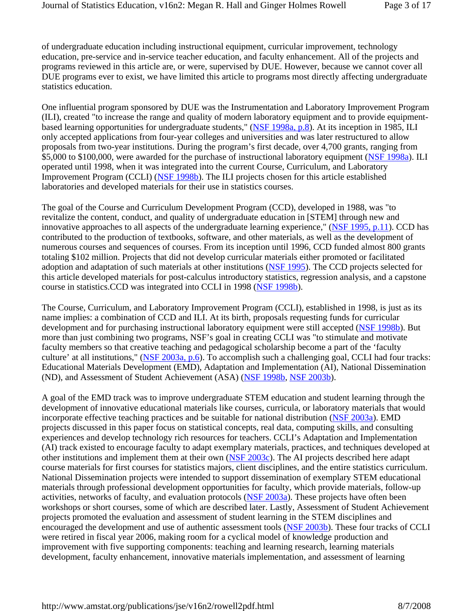of undergraduate education including instructional equipment, curricular improvement, technology education, pre-service and in-service teacher education, and faculty enhancement. All of the projects and programs reviewed in this article are, or were, supervised by DUE. However, because we cannot cover all DUE programs ever to exist, we have limited this article to programs most directly affecting undergraduate statistics education.

One influential program sponsored by DUE was the Instrumentation and Laboratory Improvement Program (ILI), created "to increase the range and quality of modern laboratory equipment and to provide equipmentbased learning opportunities for undergraduate students," (NSF 1998a, p.8). At its inception in 1985, ILI only accepted applications from four-year colleges and universities and was later restructured to allow proposals from two-year institutions. During the program's first decade, over 4,700 grants, ranging from \$5,000 to \$100,000, were awarded for the purchase of instructional laboratory equipment (NSF 1998a). ILI operated until 1998, when it was integrated into the current Course, Curriculum, and Laboratory Improvement Program (CCLI) (NSF 1998b). The ILI projects chosen for this article established laboratories and developed materials for their use in statistics courses.

The goal of the Course and Curriculum Development Program (CCD), developed in 1988, was "to revitalize the content, conduct, and quality of undergraduate education in [STEM] through new and innovative approaches to all aspects of the undergraduate learning experience," (NSF 1995, p.11). CCD has contributed to the production of textbooks, software, and other materials, as well as the development of numerous courses and sequences of courses. From its inception until 1996, CCD funded almost 800 grants totaling \$102 million. Projects that did not develop curricular materials either promoted or facilitated adoption and adaptation of such materials at other institutions (NSF 1995). The CCD projects selected for this article developed materials for post-calculus introductory statistics, regression analysis, and a capstone course in statistics.CCD was integrated into CCLI in 1998 (NSF 1998b).

The Course, Curriculum, and Laboratory Improvement Program (CCLI), established in 1998, is just as its name implies: a combination of CCD and ILI. At its birth, proposals requesting funds for curricular development and for purchasing instructional laboratory equipment were still accepted (NSF 1998b). But more than just combining two programs, NSF's goal in creating CCLI was "to stimulate and motivate faculty members so that creative teaching and pedagogical scholarship become a part of the 'faculty culture' at all institutions," (NSF 2003a, p.6). To accomplish such a challenging goal, CCLI had four tracks: Educational Materials Development (EMD), Adaptation and Implementation (AI), National Dissemination (ND), and Assessment of Student Achievement (ASA) (NSF 1998b, NSF 2003b).

A goal of the EMD track was to improve undergraduate STEM education and student learning through the development of innovative educational materials like courses, curricula, or laboratory materials that would incorporate effective teaching practices and be suitable for national distribution (NSF 2003a). EMD projects discussed in this paper focus on statistical concepts, real data, computing skills, and consulting experiences and develop technology rich resources for teachers. CCLI's Adaptation and Implementation (AI) track existed to encourage faculty to adapt exemplary materials, practices, and techniques developed at other institutions and implement them at their own (NSF 2003c). The AI projects described here adapt course materials for first courses for statistics majors, client disciplines, and the entire statistics curriculum. National Dissemination projects were intended to support dissemination of exemplary STEM educational materials through professional development opportunities for faculty, which provide materials, follow-up activities, networks of faculty, and evaluation protocols (NSF 2003a). These projects have often been workshops or short courses, some of which are described later. Lastly, Assessment of Student Achievement projects promoted the evaluation and assessment of student learning in the STEM disciplines and encouraged the development and use of authentic assessment tools (NSF 2003b). These four tracks of CCLI were retired in fiscal year 2006, making room for a cyclical model of knowledge production and improvement with five supporting components: teaching and learning research, learning materials development, faculty enhancement, innovative materials implementation, and assessment of learning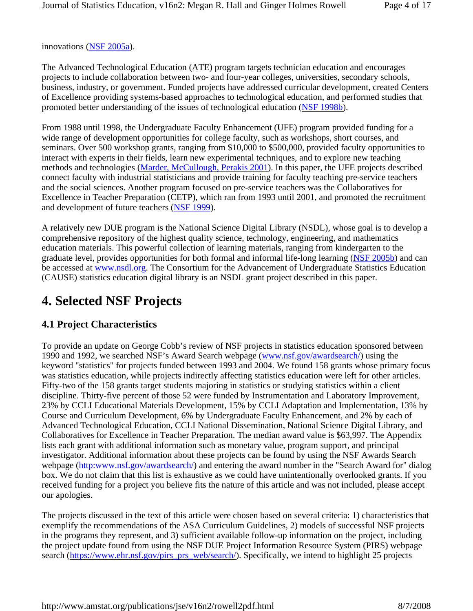innovations (NSF 2005a).

The Advanced Technological Education (ATE) program targets technician education and encourages projects to include collaboration between two- and four-year colleges, universities, secondary schools, business, industry, or government. Funded projects have addressed curricular development, created Centers of Excellence providing systems-based approaches to technological education, and performed studies that promoted better understanding of the issues of technological education (NSF 1998b).

From 1988 until 1998, the Undergraduate Faculty Enhancement (UFE) program provided funding for a wide range of development opportunities for college faculty, such as workshops, short courses, and seminars. Over 500 workshop grants, ranging from \$10,000 to \$500,000, provided faculty opportunities to interact with experts in their fields, learn new experimental techniques, and to explore new teaching methods and technologies (Marder, McCullough, Perakis 2001). In this paper, the UFE projects described connect faculty with industrial statisticians and provide training for faculty teaching pre-service teachers and the social sciences. Another program focused on pre-service teachers was the Collaboratives for Excellence in Teacher Preparation (CETP), which ran from 1993 until 2001, and promoted the recruitment and development of future teachers (NSF 1999).

A relatively new DUE program is the National Science Digital Library (NSDL), whose goal is to develop a comprehensive repository of the highest quality science, technology, engineering, and mathematics education materials. This powerful collection of learning materials, ranging from kindergarten to the graduate level, provides opportunities for both formal and informal life-long learning (NSF 2005b) and can be accessed at www.nsdl.org. The Consortium for the Advancement of Undergraduate Statistics Education (CAUSE) statistics education digital library is an NSDL grant project described in this paper.

# **4. Selected NSF Projects**

#### **4.1 Project Characteristics**

To provide an update on George Cobb's review of NSF projects in statistics education sponsored between 1990 and 1992, we searched NSF's Award Search webpage (www.nsf.gov/awardsearch/) using the keyword "statistics" for projects funded between 1993 and 2004. We found 158 grants whose primary focus was statistics education, while projects indirectly affecting statistics education were left for other articles. Fifty-two of the 158 grants target students majoring in statistics or studying statistics within a client discipline. Thirty-five percent of those 52 were funded by Instrumentation and Laboratory Improvement, 23% by CCLI Educational Materials Development, 15% by CCLI Adaptation and Implementation, 13% by Course and Curriculum Development, 6% by Undergraduate Faculty Enhancement, and 2% by each of Advanced Technological Education, CCLI National Dissemination, National Science Digital Library, and Collaboratives for Excellence in Teacher Preparation. The median award value is \$63,997. The Appendix lists each grant with additional information such as monetary value, program support, and principal investigator. Additional information about these projects can be found by using the NSF Awards Search webpage (http:www.nsf.gov/awardsearch/) and entering the award number in the "Search Award for" dialog box. We do not claim that this list is exhaustive as we could have unintentionally overlooked grants. If you received funding for a project you believe fits the nature of this article and was not included, please accept our apologies.

The projects discussed in the text of this article were chosen based on several criteria: 1) characteristics that exemplify the recommendations of the ASA Curriculum Guidelines, 2) models of successful NSF projects in the programs they represent, and 3) sufficient available follow-up information on the project, including the project update found from using the NSF DUE Project Information Resource System (PIRS) webpage search (https://www.ehr.nsf.gov/pirs\_prs\_web/search/). Specifically, we intend to highlight 25 projects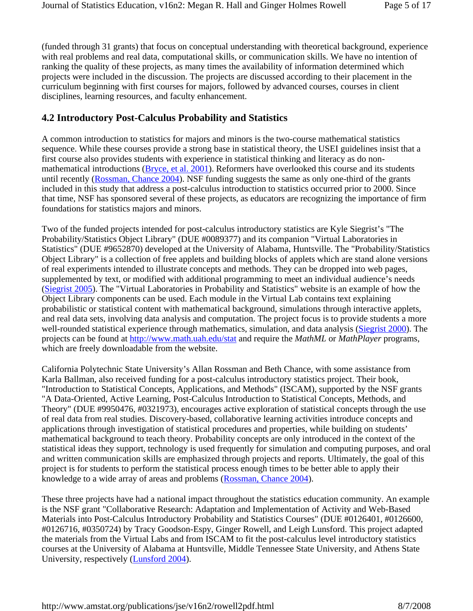(funded through 31 grants) that focus on conceptual understanding with theoretical background, experience with real problems and real data, computational skills, or communication skills. We have no intention of ranking the quality of these projects, as many times the availability of information determined which projects were included in the discussion. The projects are discussed according to their placement in the curriculum beginning with first courses for majors, followed by advanced courses, courses in client disciplines, learning resources, and faculty enhancement.

#### **4.2 Introductory Post-Calculus Probability and Statistics**

A common introduction to statistics for majors and minors is the two-course mathematical statistics sequence. While these courses provide a strong base in statistical theory, the USEI guidelines insist that a first course also provides students with experience in statistical thinking and literacy as do nonmathematical introductions (Bryce, et al. 2001). Reformers have overlooked this course and its students until recently (Rossman, Chance 2004). NSF funding suggests the same as only one-third of the grants included in this study that address a post-calculus introduction to statistics occurred prior to 2000. Since that time, NSF has sponsored several of these projects, as educators are recognizing the importance of firm foundations for statistics majors and minors.

Two of the funded projects intended for post-calculus introductory statistics are Kyle Siegrist's "The Probability/Statistics Object Library" (DUE #0089377) and its companion "Virtual Laboratories in Statistics" (DUE #9652870) developed at the University of Alabama, Huntsville. The "Probability/Statistics Object Library" is a collection of free applets and building blocks of applets which are stand alone versions of real experiments intended to illustrate concepts and methods. They can be dropped into web pages, supplemented by text, or modified with additional programming to meet an individual audience's needs (Siegrist 2005). The "Virtual Laboratories in Probability and Statistics" website is an example of how the Object Library components can be used. Each module in the Virtual Lab contains text explaining probabilistic or statistical content with mathematical background, simulations through interactive applets, and real data sets, involving data analysis and computation. The project focus is to provide students a more well-rounded statistical experience through mathematics, simulation, and data analysis (Siegrist 2000). The projects can be found at http://www.math.uah.edu/stat and require the *MathML* or *MathPlayer* programs, which are freely downloadable from the website.

California Polytechnic State University's Allan Rossman and Beth Chance, with some assistance from Karla Ballman, also received funding for a post-calculus introductory statistics project. Their book, "Introduction to Statistical Concepts, Applications, and Methods" (ISCAM), supported by the NSF grants "A Data-Oriented, Active Learning, Post-Calculus Introduction to Statistical Concepts, Methods, and Theory" (DUE #9950476, #0321973), encourages active exploration of statistical concepts through the use of real data from real studies. Discovery-based, collaborative learning activities introduce concepts and applications through investigation of statistical procedures and properties, while building on students' mathematical background to teach theory. Probability concepts are only introduced in the context of the statistical ideas they support, technology is used frequently for simulation and computing purposes, and oral and written communication skills are emphasized through projects and reports. Ultimately, the goal of this project is for students to perform the statistical process enough times to be better able to apply their knowledge to a wide array of areas and problems (Rossman, Chance 2004).

These three projects have had a national impact throughout the statistics education community. An example is the NSF grant "Collaborative Research: Adaptation and Implementation of Activity and Web-Based Materials into Post-Calculus Introductory Probability and Statistics Courses" (DUE #0126401, #0126600, #0126716, #0350724) by Tracy Goodson-Espy, Ginger Rowell, and Leigh Lunsford. This project adapted the materials from the Virtual Labs and from ISCAM to fit the post-calculus level introductory statistics courses at the University of Alabama at Huntsville, Middle Tennessee State University, and Athens State University, respectively (Lunsford 2004).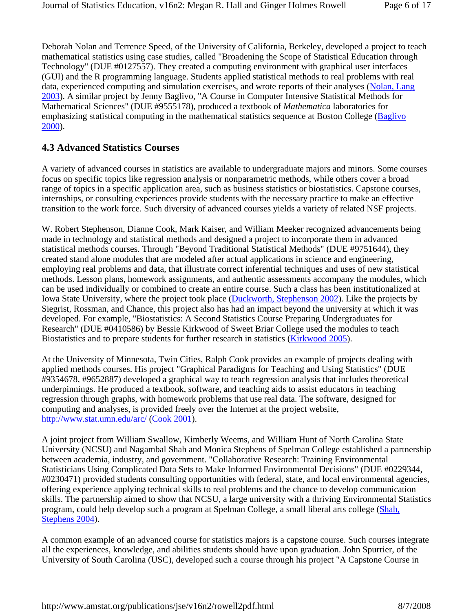Deborah Nolan and Terrence Speed, of the University of California, Berkeley, developed a project to teach mathematical statistics using case studies, called "Broadening the Scope of Statistical Education through Technology" (DUE #0127557). They created a computing environment with graphical user interfaces (GUI) and the R programming language. Students applied statistical methods to real problems with real data, experienced computing and simulation exercises, and wrote reports of their analyses (Nolan, Lang 2003). A similar project by Jenny Baglivo, "A Course in Computer Intensive Statistical Methods for Mathematical Sciences" (DUE #9555178), produced a textbook of *Mathematica* laboratories for emphasizing statistical computing in the mathematical statistics sequence at Boston College (Baglivo) 2000).

#### **4.3 Advanced Statistics Courses**

A variety of advanced courses in statistics are available to undergraduate majors and minors. Some courses focus on specific topics like regression analysis or nonparametric methods, while others cover a broad range of topics in a specific application area, such as business statistics or biostatistics. Capstone courses, internships, or consulting experiences provide students with the necessary practice to make an effective transition to the work force. Such diversity of advanced courses yields a variety of related NSF projects.

W. Robert Stephenson, Dianne Cook, Mark Kaiser, and William Meeker recognized advancements being made in technology and statistical methods and designed a project to incorporate them in advanced statistical methods courses. Through "Beyond Traditional Statistical Methods" (DUE #9751644), they created stand alone modules that are modeled after actual applications in science and engineering, employing real problems and data, that illustrate correct inferential techniques and uses of new statistical methods. Lesson plans, homework assignments, and authentic assessments accompany the modules, which can be used individually or combined to create an entire course. Such a class has been institutionalized at Iowa State University, where the project took place (Duckworth, Stephenson 2002). Like the projects by Siegrist, Rossman, and Chance, this project also has had an impact beyond the university at which it was developed. For example, "Biostatistics: A Second Statistics Course Preparing Undergraduates for Research" (DUE #0410586) by Bessie Kirkwood of Sweet Briar College used the modules to teach Biostatistics and to prepare students for further research in statistics (Kirkwood 2005).

At the University of Minnesota, Twin Cities, Ralph Cook provides an example of projects dealing with applied methods courses. His project "Graphical Paradigms for Teaching and Using Statistics" (DUE #9354678, #9652887) developed a graphical way to teach regression analysis that includes theoretical underpinnings. He produced a textbook, software, and teaching aids to assist educators in teaching regression through graphs, with homework problems that use real data. The software, designed for computing and analyses, is provided freely over the Internet at the project website, http://www.stat.umn.edu/arc/ (Cook 2001).

A joint project from William Swallow, Kimberly Weems, and William Hunt of North Carolina State University (NCSU) and Nagambal Shah and Monica Stephens of Spelman College established a partnership between academia, industry, and government. "Collaborative Research: Training Environmental Statisticians Using Complicated Data Sets to Make Informed Environmental Decisions" (DUE #0229344, #0230471) provided students consulting opportunities with federal, state, and local environmental agencies, offering experience applying technical skills to real problems and the chance to develop communication skills. The partnership aimed to show that NCSU, a large university with a thriving Environmental Statistics program, could help develop such a program at Spelman College, a small liberal arts college (Shah, Stephens 2004).

A common example of an advanced course for statistics majors is a capstone course. Such courses integrate all the experiences, knowledge, and abilities students should have upon graduation. John Spurrier, of the University of South Carolina (USC), developed such a course through his project "A Capstone Course in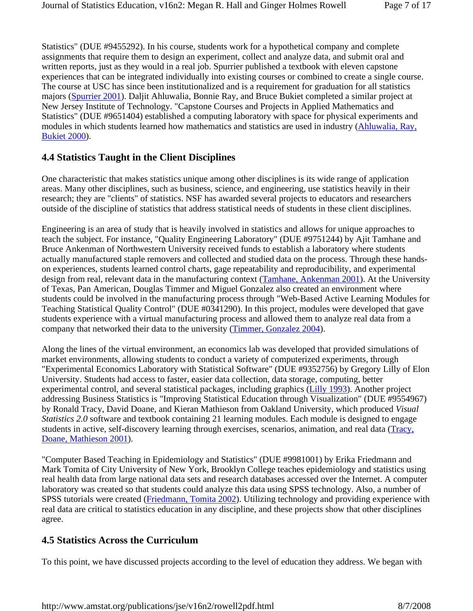Statistics" (DUE #9455292). In his course, students work for a hypothetical company and complete assignments that require them to design an experiment, collect and analyze data, and submit oral and written reports, just as they would in a real job. Spurrier published a textbook with eleven capstone experiences that can be integrated individually into existing courses or combined to create a single course. The course at USC has since been institutionalized and is a requirement for graduation for all statistics majors (Spurrier 2001). Daljit Ahluwalia, Bonnie Ray, and Bruce Bukiet completed a similar project at New Jersey Institute of Technology. "Capstone Courses and Projects in Applied Mathematics and Statistics" (DUE #9651404) established a computing laboratory with space for physical experiments and modules in which students learned how mathematics and statistics are used in industry (Ahluwalia, Ray, Bukiet 2000).

#### **4.4 Statistics Taught in the Client Disciplines**

One characteristic that makes statistics unique among other disciplines is its wide range of application areas. Many other disciplines, such as business, science, and engineering, use statistics heavily in their research; they are "clients" of statistics. NSF has awarded several projects to educators and researchers outside of the discipline of statistics that address statistical needs of students in these client disciplines.

Engineering is an area of study that is heavily involved in statistics and allows for unique approaches to teach the subject. For instance, "Quality Engineering Laboratory" (DUE #9751244) by Ajit Tamhane and Bruce Ankenman of Northwestern University received funds to establish a laboratory where students actually manufactured staple removers and collected and studied data on the process. Through these handson experiences, students learned control charts, gage repeatability and reproducibility, and experimental design from real, relevant data in the manufacturing context (Tamhane, Ankenman 2001). At the University of Texas, Pan American, Douglas Timmer and Miguel Gonzalez also created an environment where students could be involved in the manufacturing process through "Web-Based Active Learning Modules for Teaching Statistical Quality Control" (DUE #0341290). In this project, modules were developed that gave students experience with a virtual manufacturing process and allowed them to analyze real data from a company that networked their data to the university (Timmer, Gonzalez 2004).

Along the lines of the virtual environment, an economics lab was developed that provided simulations of market environments, allowing students to conduct a variety of computerized experiments, through "Experimental Economics Laboratory with Statistical Software" (DUE #9352756) by Gregory Lilly of Elon University. Students had access to faster, easier data collection, data storage, computing, better experimental control, and several statistical packages, including graphics (Lilly 1993). Another project addressing Business Statistics is "Improving Statistical Education through Visualization" (DUE #9554967) by Ronald Tracy, David Doane, and Kieran Mathieson from Oakland University, which produced *Visual Statistics 2.0* software and textbook containing 21 learning modules. Each module is designed to engage students in active, self-discovery learning through exercises, scenarios, animation, and real data (Tracy, Doane, Mathieson 2001).

"Computer Based Teaching in Epidemiology and Statistics" (DUE #9981001) by Erika Friedmann and Mark Tomita of City University of New York, Brooklyn College teaches epidemiology and statistics using real health data from large national data sets and research databases accessed over the Internet. A computer laboratory was created so that students could analyze this data using SPSS technology. Also, a number of SPSS tutorials were created (Friedmann, Tomita 2002). Utilizing technology and providing experience with real data are critical to statistics education in any discipline, and these projects show that other disciplines agree.

#### **4.5 Statistics Across the Curriculum**

To this point, we have discussed projects according to the level of education they address. We began with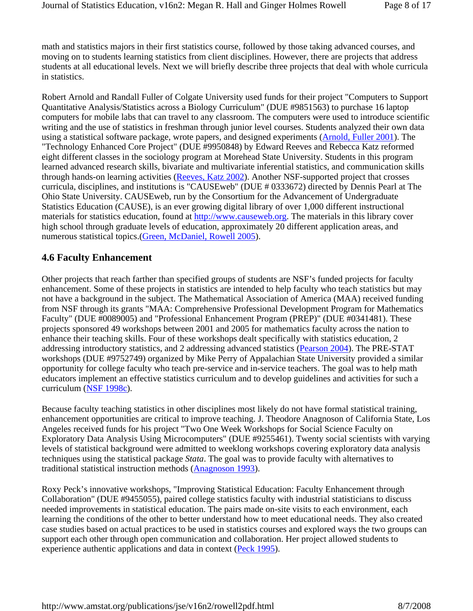math and statistics majors in their first statistics course, followed by those taking advanced courses, and moving on to students learning statistics from client disciplines. However, there are projects that address students at all educational levels. Next we will briefly describe three projects that deal with whole curricula in statistics.

Robert Arnold and Randall Fuller of Colgate University used funds for their project "Computers to Support Quantitative Analysis/Statistics across a Biology Curriculum" (DUE #9851563) to purchase 16 laptop computers for mobile labs that can travel to any classroom. The computers were used to introduce scientific writing and the use of statistics in freshman through junior level courses. Students analyzed their own data using a statistical software package, wrote papers, and designed experiments (Arnold, Fuller 2001). The "Technology Enhanced Core Project" (DUE #9950848) by Edward Reeves and Rebecca Katz reformed eight different classes in the sociology program at Morehead State University. Students in this program learned advanced research skills, bivariate and multivariate inferential statistics, and communication skills through hands-on learning activities (Reeves, Katz 2002). Another NSF-supported project that crosses curricula, disciplines, and institutions is "CAUSEweb" (DUE # 0333672) directed by Dennis Pearl at The Ohio State University. CAUSEweb, run by the Consortium for the Advancement of Undergraduate Statistics Education (CAUSE), is an ever growing digital library of over 1,000 different instructional materials for statistics education, found at http://www.causeweb.org. The materials in this library cover high school through graduate levels of education, approximately 20 different application areas, and numerous statistical topics.(Green, McDaniel, Rowell 2005).

#### **4.6 Faculty Enhancement**

Other projects that reach farther than specified groups of students are NSF's funded projects for faculty enhancement. Some of these projects in statistics are intended to help faculty who teach statistics but may not have a background in the subject. The Mathematical Association of America (MAA) received funding from NSF through its grants "MAA: Comprehensive Professional Development Program for Mathematics Faculty" (DUE #0089005) and "Professional Enhancement Program (PREP)" (DUE #0341481). These projects sponsored 49 workshops between 2001 and 2005 for mathematics faculty across the nation to enhance their teaching skills. Four of these workshops dealt specifically with statistics education, 2 addressing introductory statistics, and 2 addressing advanced statistics (Pearson 2004). The PRE-STAT workshops (DUE #9752749) organized by Mike Perry of Appalachian State University provided a similar opportunity for college faculty who teach pre-service and in-service teachers. The goal was to help math educators implement an effective statistics curriculum and to develop guidelines and activities for such a curriculum (NSF 1998c).

Because faculty teaching statistics in other disciplines most likely do not have formal statistical training, enhancement opportunities are critical to improve teaching. J. Theodore Anagnoson of California State, Los Angeles received funds for his project "Two One Week Workshops for Social Science Faculty on Exploratory Data Analysis Using Microcomputers" (DUE #9255461). Twenty social scientists with varying levels of statistical background were admitted to weeklong workshops covering exploratory data analysis techniques using the statistical package *Stata*. The goal was to provide faculty with alternatives to traditional statistical instruction methods (Anagnoson 1993).

Roxy Peck's innovative workshops, "Improving Statistical Education: Faculty Enhancement through Collaboration" (DUE #9455055), paired college statistics faculty with industrial statisticians to discuss needed improvements in statistical education. The pairs made on-site visits to each environment, each learning the conditions of the other to better understand how to meet educational needs. They also created case studies based on actual practices to be used in statistics courses and explored ways the two groups can support each other through open communication and collaboration. Her project allowed students to experience authentic applications and data in context (Peck 1995).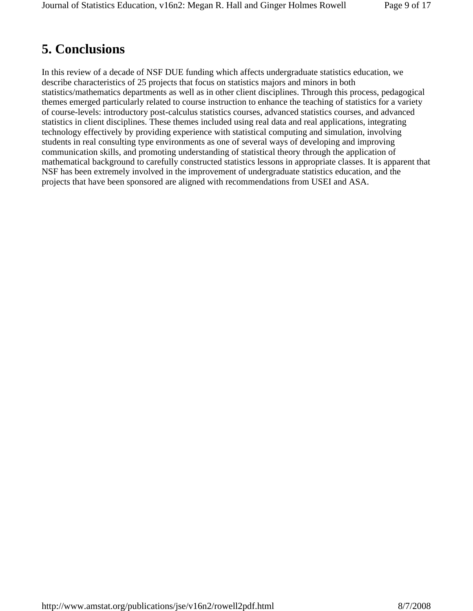# **5. Conclusions**

In this review of a decade of NSF DUE funding which affects undergraduate statistics education, we describe characteristics of 25 projects that focus on statistics majors and minors in both statistics/mathematics departments as well as in other client disciplines. Through this process, pedagogical themes emerged particularly related to course instruction to enhance the teaching of statistics for a variety of course-levels: introductory post-calculus statistics courses, advanced statistics courses, and advanced statistics in client disciplines. These themes included using real data and real applications, integrating technology effectively by providing experience with statistical computing and simulation, involving students in real consulting type environments as one of several ways of developing and improving communication skills, and promoting understanding of statistical theory through the application of mathematical background to carefully constructed statistics lessons in appropriate classes. It is apparent that NSF has been extremely involved in the improvement of undergraduate statistics education, and the projects that have been sponsored are aligned with recommendations from USEI and ASA.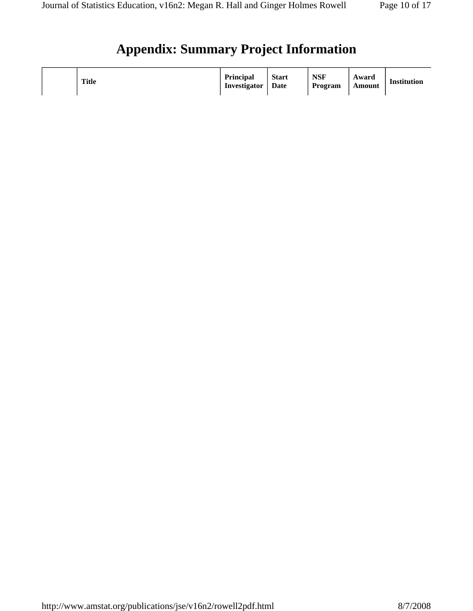# **Appendix: Summary Project Information**

|  | <b>Title</b> | <b>Principal</b><br>Investigator | <b>Start</b><br>Date | <b>NSF</b><br>Program | Award<br>Amount | <b>Institution</b> |
|--|--------------|----------------------------------|----------------------|-----------------------|-----------------|--------------------|
|--|--------------|----------------------------------|----------------------|-----------------------|-----------------|--------------------|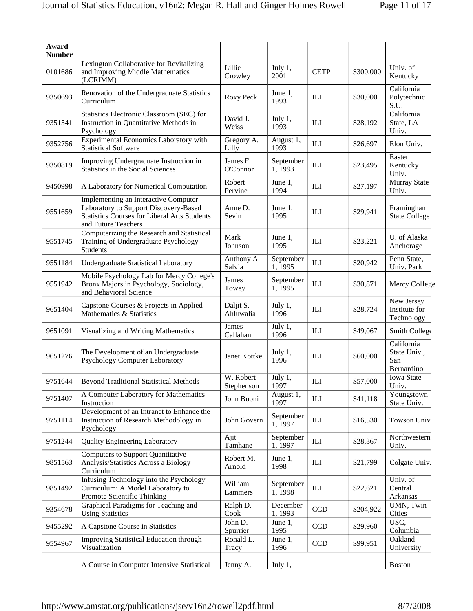| Award<br><b>Number</b> |                                                                                                                                                             |                         |                      |             |           |                                                 |
|------------------------|-------------------------------------------------------------------------------------------------------------------------------------------------------------|-------------------------|----------------------|-------------|-----------|-------------------------------------------------|
| 0101686                | Lexington Collaborative for Revitalizing<br>and Improving Middle Mathematics<br>(LCRIMM)                                                                    | Lillie<br>Crowley       | July 1,<br>2001      | <b>CETP</b> | \$300,000 | Univ. of<br>Kentucky                            |
| 9350693                | Renovation of the Undergraduate Statistics<br>Curriculum                                                                                                    | Roxy Peck               | June 1,<br>1993      | ILI         | \$30,000  | California<br>Polytechnic<br>S.U.               |
| 9351541                | Statistics Electronic Classroom (SEC) for<br>Instruction in Quantitative Methods in<br>Psychology                                                           | David J.<br>Weiss       | July 1,<br>1993      | ILI         | \$28,192  | California<br>State, LA<br>Univ.                |
| 9352756                | Experimental Economics Laboratory with<br><b>Statistical Software</b>                                                                                       | Gregory A.<br>Lilly     | August 1,<br>1993    | ILI         | \$26,697  | Elon Univ.                                      |
| 9350819                | Improving Undergraduate Instruction in<br>Statistics in the Social Sciences                                                                                 | James F.<br>O'Connor    | September<br>1, 1993 | ILI         | \$23,495  | Eastern<br>Kentucky<br>Univ.                    |
| 9450998                | A Laboratory for Numerical Computation                                                                                                                      | Robert<br>Pervine       | June 1,<br>1994      | ILI         | \$27,197  | Murray State<br>Univ.                           |
| 9551659                | Implementing an Interactive Computer<br>Laboratory to Support Discovery-Based<br><b>Statistics Courses for Liberal Arts Students</b><br>and Future Teachers | Anne D.<br>Sevin        | June 1,<br>1995      | ILI         | \$29,941  | Framingham<br><b>State College</b>              |
| 9551745                | Computerizing the Research and Statistical<br>Training of Undergraduate Psychology<br>Students                                                              | Mark<br>Johnson         | June 1,<br>1995      | ILI         | \$23,221  | U. of Alaska<br>Anchorage                       |
| 9551184                | <b>Undergraduate Statistical Laboratory</b>                                                                                                                 | Anthony A.<br>Salvia    | September<br>1,1995  | ILI         | \$20,942  | Penn State,<br>Univ. Park                       |
| 9551942                | Mobile Psychology Lab for Mercy College's<br>Bronx Majors in Psychology, Sociology,<br>and Behavioral Science                                               | James<br>Towey          | September<br>1,1995  | ILI         | \$30,871  | Mercy College                                   |
| 9651404                | Capstone Courses & Projects in Applied<br>Mathematics & Statistics                                                                                          | Daljit S.<br>Ahluwalia  | July 1,<br>1996      | ILI         | \$28,724  | New Jersey<br>Institute for<br>Technology       |
| 9651091                | Visualizing and Writing Mathematics                                                                                                                         | James<br>Callahan       | July 1,<br>1996      | ILI         | \$49,067  | Smith College                                   |
| 9651276                | The Development of an Undergraduate<br>Psychology Computer Laboratory                                                                                       | Janet Kottke            | July 1,<br>1996      | ILI         | \$60,000  | California<br>State Univ.,<br>San<br>Bernardino |
| 9751644                | <b>Beyond Traditional Statistical Methods</b>                                                                                                               | W. Robert<br>Stephenson | July 1,<br>1997      | ILI         | \$57,000  | <b>Iowa State</b><br>Univ.                      |
| 9751407                | A Computer Laboratory for Mathematics<br>Instruction                                                                                                        | John Buoni              | August 1,<br>1997    | IП          | \$41,118  | Youngstown<br>State Univ.                       |
| 9751114                | Development of an Intranet to Enhance the<br>Instruction of Research Methodology in<br>Psychology                                                           | John Govern             | September<br>1, 1997 | ILI         | \$16,530  | Towson Univ                                     |
| 9751244                | <b>Quality Engineering Laboratory</b>                                                                                                                       | Ajit<br>Tamhane         | September<br>1, 1997 | $\rm{ILI}$  | \$28,367  | Northwestern<br>Univ.                           |
| 9851563                | <b>Computers to Support Quantitative</b><br>Analysis/Statistics Across a Biology<br>Curriculum                                                              | Robert M.<br>Arnold     | June 1,<br>1998      | ILI         | \$21,799  | Colgate Univ.                                   |
| 9851492                | Infusing Technology into the Psychology<br>Curriculum: A Model Laboratory to<br>Promote Scientific Thinking                                                 | William<br>Lammers      | September<br>1,1998  | ILI         | \$22,621  | Univ. of<br>Central<br>Arkansas                 |
| 9354678                | Graphical Paradigms for Teaching and<br><b>Using Statistics</b>                                                                                             | Ralph D.<br>Cook        | December<br>1, 1993  | CCD         | \$204,922 | UMN, Twin<br>Cities                             |
| 9455292                | A Capstone Course in Statistics                                                                                                                             | John D.<br>Spurrier     | June 1,<br>1995      | CCD         | \$29,960  | USC,<br>Columbia                                |
| 9554967                | Improving Statistical Education through<br>Visualization                                                                                                    | Ronald L.<br>Tracy      | June 1,<br>1996      | CCD         | \$99,951  | Oakland<br>University                           |
|                        | A Course in Computer Intensive Statistical                                                                                                                  | Jenny A.                | July 1,              |             |           | Boston                                          |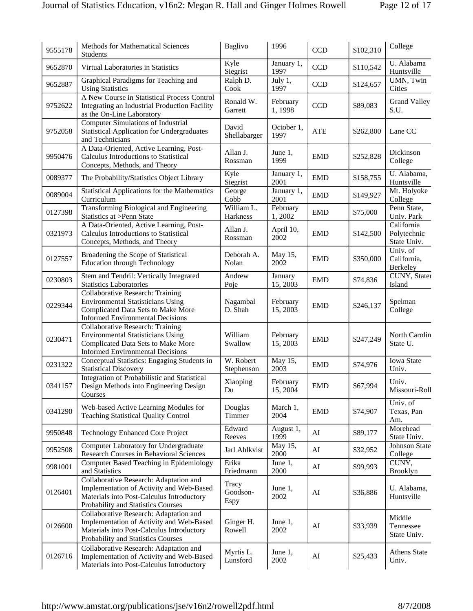| 9555178 | Methods for Mathematical Sciences<br>Students                                                                                                                         | <b>Baglivo</b>            | 1996                 | CCD        | \$102,310 | College                                  |
|---------|-----------------------------------------------------------------------------------------------------------------------------------------------------------------------|---------------------------|----------------------|------------|-----------|------------------------------------------|
| 9652870 | Virtual Laboratories in Statistics                                                                                                                                    | Kyle<br>Siegrist          | January 1,<br>1997   | <b>CCD</b> | \$110,542 | U. Alabama<br>Huntsville                 |
| 9652887 | Graphical Paradigms for Teaching and<br><b>Using Statistics</b>                                                                                                       | Ralph D.<br>Cook          | July 1,<br>1997      | <b>CCD</b> | \$124,657 | UMN, Twin<br>Cities                      |
| 9752622 | A New Course in Statistical Process Control<br>Integrating an Industrial Production Facility<br>as the On-Line Laboratory                                             | Ronald W.<br>Garrett      | February<br>1,1998   | <b>CCD</b> | \$89,083  | <b>Grand Valley</b><br>S.U.              |
| 9752058 | Computer Simulations of Industrial<br><b>Statistical Application for Undergraduates</b><br>and Technicians                                                            | David<br>Shellabarger     | October 1,<br>1997   | ATE        | \$262,800 | Lane CC                                  |
| 9950476 | A Data-Oriented, Active Learning, Post-<br>Calculus Introductions to Statistical<br>Concepts, Methods, and Theory                                                     | Allan J.<br>Rossman       | June 1,<br>1999      | <b>EMD</b> | \$252,828 | Dickinson<br>College                     |
| 0089377 | The Probability/Statistics Object Library                                                                                                                             | Kyle<br>Siegrist          | January 1,<br>2001   | <b>EMD</b> | \$158,755 | U. Alabama,<br>Huntsville                |
| 0089004 | <b>Statistical Applications for the Mathematics</b><br>Curriculum                                                                                                     | George<br>Cobb            | January 1,<br>2001   | <b>EMD</b> | \$149,927 | Mt. Holyoke<br>College                   |
| 0127398 | Transforming Biological and Engineering<br>Statistics at >Penn State                                                                                                  | William L.<br>Harkness    | February<br>1,2002   | <b>EMD</b> | \$75,000  | Penn State,<br>Univ. Park                |
| 0321973 | A Data-Oriented, Active Learning, Post-<br><b>Calculus Introductions to Statistical</b><br>Concepts, Methods, and Theory                                              | Allan J.<br>Rossman       | April 10,<br>2002    | <b>EMD</b> | \$142,500 | California<br>Polytechnic<br>State Univ. |
| 0127557 | Broadening the Scope of Statistical<br><b>Education through Technology</b>                                                                                            | Deborah A.<br>Nolan       | May 15,<br>2002      | <b>EMD</b> | \$350,000 | Univ. of<br>California,<br>Berkeley      |
| 0230803 | Stem and Tendril: Vertically Integrated<br><b>Statistics Laboratories</b>                                                                                             | Andrew<br>Poje            | January<br>15, 2003  | <b>EMD</b> | \$74,836  | CUNY, Stater<br>Island                   |
| 0229344 | <b>Collaborative Research: Training</b><br><b>Environmental Statisticians Using</b><br>Complicated Data Sets to Make More<br><b>Informed Environmental Decisions</b>  | Nagambal<br>D. Shah       | February<br>15, 2003 | <b>EMD</b> | \$246,137 | Spelman<br>College                       |
| 0230471 | <b>Collaborative Research: Training</b><br><b>Environmental Statisticians Using</b><br>Complicated Data Sets to Make More<br><b>Informed Environmental Decisions</b>  | William<br>Swallow        | February<br>15, 2003 | <b>EMD</b> | \$247,249 | North Carolin<br>State U.                |
| 0231322 | Conceptual Statistics: Engaging Students in<br><b>Statistical Discovery</b>                                                                                           | W. Robert<br>Stephenson   | May 15,<br>2003      | <b>EMD</b> | \$74,976  | <b>Iowa State</b><br>Univ.               |
| 0341157 | Integration of Probabilistic and Statistical<br>Design Methods into Engineering Design<br>Courses                                                                     | Xiaoping<br>Du            | February<br>15, 2004 | <b>EMD</b> | \$67,994  | Univ.<br>Missouri-Roll                   |
| 0341290 | Web-based Active Learning Modules for<br><b>Teaching Statistical Quality Control</b>                                                                                  | Douglas<br>Timmer         | March 1,<br>2004     | <b>EMD</b> | \$74,907  | Univ. of<br>Texas, Pan<br>Am.            |
| 9950848 | <b>Technology Enhanced Core Project</b>                                                                                                                               | Edward<br>Reeves          | August 1,<br>1999    | AI         | \$89,177  | Morehead<br>State Univ.                  |
| 9952508 | <b>Computer Laboratory for Undergraduate</b><br>Research Courses in Behavioral Sciences                                                                               | Jarl Ahlkvist             | May 15,<br>2000      | AI         | \$32,952  | Johnson State<br>College                 |
| 9981001 | Computer Based Teaching in Epidemiology<br>and Statistics                                                                                                             | Erika<br>Friedmann        | June 1,<br>2000      | AI         | \$99,993  | CUNY,<br>Brooklyn                        |
| 0126401 | Collaborative Research: Adaptation and<br>Implementation of Activity and Web-Based<br>Materials into Post-Calculus Introductory<br>Probability and Statistics Courses | Tracy<br>Goodson-<br>Espy | June 1,<br>2002      | AI         | \$36,886  | U. Alabama,<br>Huntsville                |
| 0126600 | Collaborative Research: Adaptation and<br>Implementation of Activity and Web-Based<br>Materials into Post-Calculus Introductory<br>Probability and Statistics Courses | Ginger H.<br>Rowell       | June 1,<br>2002      | AI         | \$33,939  | Middle<br>Tennessee<br>State Univ.       |
| 0126716 | Collaborative Research: Adaptation and<br>Implementation of Activity and Web-Based<br>Materials into Post-Calculus Introductory                                       | Myrtis L.<br>Lunsford     | June 1,<br>2002      | AI         | \$25,433  | Athens State<br>Univ.                    |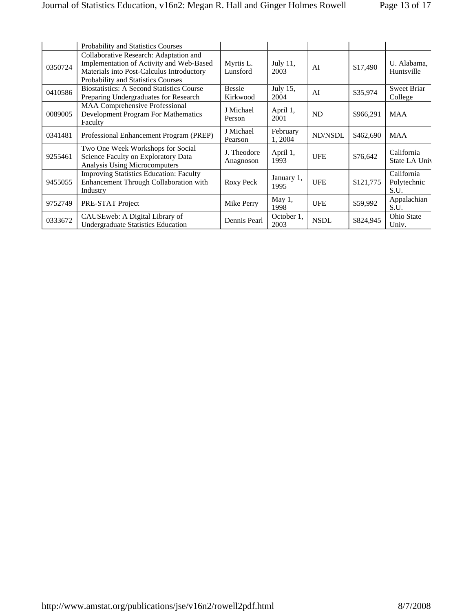|         | <b>Probability and Statistics Courses</b>                                                                                                                             |                           |                     |             |           |                                   |
|---------|-----------------------------------------------------------------------------------------------------------------------------------------------------------------------|---------------------------|---------------------|-------------|-----------|-----------------------------------|
| 0350724 | Collaborative Research: Adaptation and<br>Implementation of Activity and Web-Based<br>Materials into Post-Calculus Introductory<br>Probability and Statistics Courses | Myrtis L.<br>Lunsford     | July 11,<br>2003    | AI          | \$17,490  | U. Alabama,<br>Huntsville         |
| 0410586 | <b>Biostatistics: A Second Statistics Course</b><br>Preparing Undergraduates for Research                                                                             | <b>Bessie</b><br>Kirkwood | July 15,<br>2004    | AI          | \$35,974  | <b>Sweet Briar</b><br>College     |
| 0089005 | <b>MAA Comprehensive Professional</b><br>Development Program For Mathematics<br>Faculty                                                                               | J Michael<br>Person       | April 1,<br>2001    | ND.         | \$966,291 | <b>MAA</b>                        |
| 0341481 | Professional Enhancement Program (PREP)                                                                                                                               | J Michael<br>Pearson      | February<br>1, 2004 | ND/NSDL     | \$462,690 | <b>MAA</b>                        |
| 9255461 | Two One Week Workshops for Social<br>Science Faculty on Exploratory Data<br>Analysis Using Microcomputers                                                             | J. Theodore<br>Anagnoson  | April 1,<br>1993    | <b>UFE</b>  | \$76,642  | California<br>State LA Univ       |
| 9455055 | <b>Improving Statistics Education: Faculty</b><br>Enhancement Through Collaboration with<br>Industry                                                                  | Roxy Peck                 | January 1,<br>1995  | <b>UFE</b>  | \$121,775 | California<br>Polytechnic<br>S.U. |
| 9752749 | PRE-STAT Project                                                                                                                                                      | Mike Perry                | May 1,<br>1998      | <b>UFE</b>  | \$59,992  | Appalachian<br>S.U.               |
| 0333672 | CAUSEweb: A Digital Library of<br><b>Undergraduate Statistics Education</b>                                                                                           | Dennis Pearl              | October 1,<br>2003  | <b>NSDL</b> | \$824,945 | <b>Ohio State</b><br>Univ.        |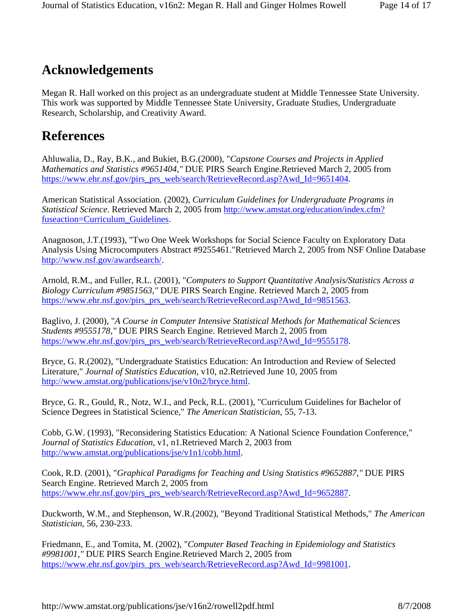# **Acknowledgements**

Megan R. Hall worked on this project as an undergraduate student at Middle Tennessee State University. This work was supported by Middle Tennessee State University, Graduate Studies, Undergraduate Research, Scholarship, and Creativity Award.

# **References**

Ahluwalia, D., Ray, B.K., and Bukiet, B.G.(2000), "*Capstone Courses and Projects in Applied Mathematics and Statistics #9651404,"* DUE PIRS Search Engine.Retrieved March 2, 2005 from https://www.ehr.nsf.gov/pirs\_prs\_web/search/RetrieveRecord.asp?Awd\_Id=9651404.

American Statistical Association. (2002), *Curriculum Guidelines for Undergraduate Programs in Statistical Science*. Retrieved March 2, 2005 from http://www.amstat.org/education/index.cfm? fuseaction=Curriculum\_Guidelines.

Anagnoson, J.T.(1993), "Two One Week Workshops for Social Science Faculty on Exploratory Data Analysis Using Microcomputers Abstract #9255461."Retrieved March 2, 2005 from NSF Online Database http://www.nsf.gov/awardsearch/.

Arnold, R.M., and Fuller, R.L. (2001), "*Computers to Support Quantitative Analysis/Statistics Across a Biology Curriculum #9851563,"* DUE PIRS Search Engine. Retrieved March 2, 2005 from https://www.ehr.nsf.gov/pirs\_prs\_web/search/RetrieveRecord.asp?Awd\_Id=9851563.

Baglivo, J. (2000), "*A Course in Computer Intensive Statistical Methods for Mathematical Sciences Students #9555178,"* DUE PIRS Search Engine. Retrieved March 2, 2005 from https://www.ehr.nsf.gov/pirs\_prs\_web/search/RetrieveRecord.asp?Awd\_Id=9555178.

Bryce, G. R.(2002), "Undergraduate Statistics Education: An Introduction and Review of Selected Literature," *Journal of Statistics Education*, v10, n2.Retrieved June 10, 2005 from http://www.amstat.org/publications/jse/v10n2/bryce.html.

Bryce, G. R., Gould, R., Notz, W.I., and Peck, R.L. (2001), "Curriculum Guidelines for Bachelor of Science Degrees in Statistical Science," *The American Statistician*, 55, 7-13.

Cobb, G.W. (1993), "Reconsidering Statistics Education: A National Science Foundation Conference," *Journal of Statistics Education*, v1, n1.Retrieved March 2, 2003 from http://www.amstat.org/publications/jse/v1n1/cobb.html.

Cook, R.D. (2001), "*Graphical Paradigms for Teaching and Using Statistics #9652887,"* DUE PIRS Search Engine. Retrieved March 2, 2005 from https://www.ehr.nsf.gov/pirs\_prs\_web/search/RetrieveRecord.asp?Awd\_Id=9652887.

Duckworth, W.M., and Stephenson, W.R.(2002), "Beyond Traditional Statistical Methods," *The American Statistician*, 56, 230-233.

Friedmann, E., and Tomita, M. (2002), "*Computer Based Teaching in Epidemiology and Statistics #9981001,"* DUE PIRS Search Engine.Retrieved March 2, 2005 from https://www.ehr.nsf.gov/pirs\_prs\_web/search/RetrieveRecord.asp?Awd\_Id=9981001.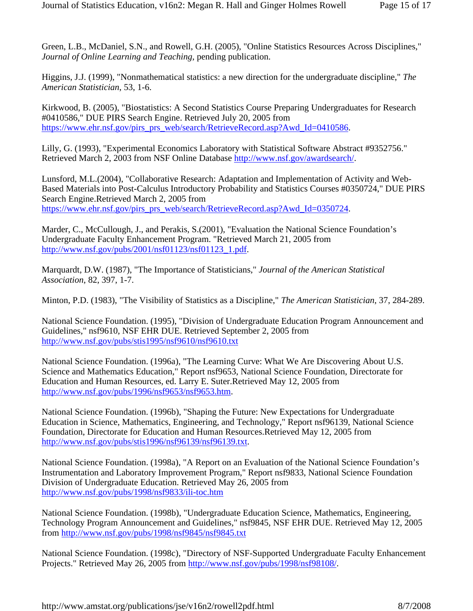Green, L.B., McDaniel, S.N., and Rowell, G.H. (2005), "Online Statistics Resources Across Disciplines," *Journal of Online Learning and Teaching*, pending publication.

Higgins, J.J. (1999), "Nonmathematical statistics: a new direction for the undergraduate discipline," *The American Statistician*, 53, 1-6.

Kirkwood, B. (2005), "Biostatistics: A Second Statistics Course Preparing Undergraduates for Research #0410586," DUE PIRS Search Engine. Retrieved July 20, 2005 from https://www.ehr.nsf.gov/pirs\_prs\_web/search/RetrieveRecord.asp?Awd\_Id=0410586.

Lilly, G. (1993), "Experimental Economics Laboratory with Statistical Software Abstract #9352756." Retrieved March 2, 2003 from NSF Online Database http://www.nsf.gov/awardsearch/.

Lunsford, M.L.(2004), "Collaborative Research: Adaptation and Implementation of Activity and Web-Based Materials into Post-Calculus Introductory Probability and Statistics Courses #0350724," DUE PIRS Search Engine.Retrieved March 2, 2005 from https://www.ehr.nsf.gov/pirs\_prs\_web/search/RetrieveRecord.asp?Awd\_Id=0350724.

Marder, C., McCullough, J., and Perakis, S.(2001), "Evaluation the National Science Foundation's Undergraduate Faculty Enhancement Program. "Retrieved March 21, 2005 from http://www.nsf.gov/pubs/2001/nsf01123/nsf01123\_1.pdf.

Marquardt, D.W. (1987), "The Importance of Statisticians," *Journal of the American Statistical Association*, 82, 397, 1-7.

Minton, P.D. (1983), "The Visibility of Statistics as a Discipline," *The American Statistician*, 37, 284-289.

National Science Foundation. (1995), "Division of Undergraduate Education Program Announcement and Guidelines," nsf9610, NSF EHR DUE. Retrieved September 2, 2005 from http://www.nsf.gov/pubs/stis1995/nsf9610/nsf9610.txt

National Science Foundation. (1996a), "The Learning Curve: What We Are Discovering About U.S. Science and Mathematics Education," Report nsf9653, National Science Foundation, Directorate for Education and Human Resources, ed. Larry E. Suter.Retrieved May 12, 2005 from http://www.nsf.gov/pubs/1996/nsf9653/nsf9653.htm.

National Science Foundation. (1996b), "Shaping the Future: New Expectations for Undergraduate Education in Science, Mathematics, Engineering, and Technology," Report nsf96139, National Science Foundation, Directorate for Education and Human Resources.Retrieved May 12, 2005 from http://www.nsf.gov/pubs/stis1996/nsf96139/nsf96139.txt.

National Science Foundation. (1998a), "A Report on an Evaluation of the National Science Foundation's Instrumentation and Laboratory Improvement Program," Report nsf9833, National Science Foundation Division of Undergraduate Education. Retrieved May 26, 2005 from http://www.nsf.gov/pubs/1998/nsf9833/ili-toc.htm

National Science Foundation. (1998b), "Undergraduate Education Science, Mathematics, Engineering, Technology Program Announcement and Guidelines," nsf9845, NSF EHR DUE. Retrieved May 12, 2005 from http://www.nsf.gov/pubs/1998/nsf9845/nsf9845.txt

National Science Foundation. (1998c), "Directory of NSF-Supported Undergraduate Faculty Enhancement Projects." Retrieved May 26, 2005 from http://www.nsf.gov/pubs/1998/nsf98108/.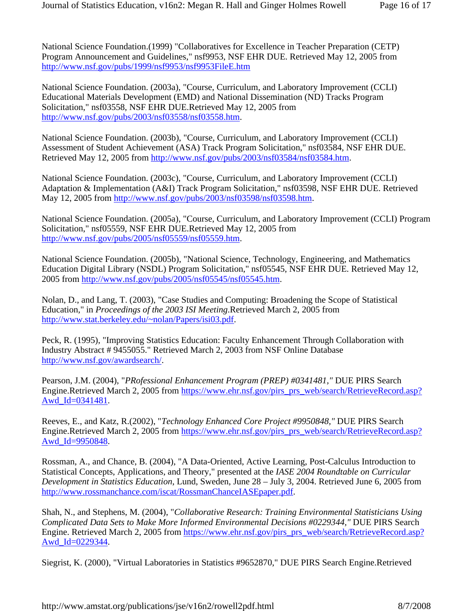National Science Foundation.(1999) "Collaboratives for Excellence in Teacher Preparation (CETP) Program Announcement and Guidelines," nsf9953, NSF EHR DUE. Retrieved May 12, 2005 from http://www.nsf.gov/pubs/1999/nsf9953/nsf9953FileE.htm

National Science Foundation. (2003a), "Course, Curriculum, and Laboratory Improvement (CCLI) Educational Materials Development (EMD) and National Dissemination (ND) Tracks Program Solicitation," nsf03558, NSF EHR DUE.Retrieved May 12, 2005 from http://www.nsf.gov/pubs/2003/nsf03558/nsf03558.htm.

National Science Foundation. (2003b), "Course, Curriculum, and Laboratory Improvement (CCLI) Assessment of Student Achievement (ASA) Track Program Solicitation," nsf03584, NSF EHR DUE. Retrieved May 12, 2005 from http://www.nsf.gov/pubs/2003/nsf03584/nsf03584.htm.

National Science Foundation. (2003c), "Course, Curriculum, and Laboratory Improvement (CCLI) Adaptation & Implementation (A&I) Track Program Solicitation," nsf03598, NSF EHR DUE. Retrieved May 12, 2005 from http://www.nsf.gov/pubs/2003/nsf03598/nsf03598.htm.

National Science Foundation. (2005a), "Course, Curriculum, and Laboratory Improvement (CCLI) Program Solicitation," nsf05559, NSF EHR DUE.Retrieved May 12, 2005 from http://www.nsf.gov/pubs/2005/nsf05559/nsf05559.htm.

National Science Foundation. (2005b), "National Science, Technology, Engineering, and Mathematics Education Digital Library (NSDL) Program Solicitation," nsf05545, NSF EHR DUE. Retrieved May 12, 2005 from http://www.nsf.gov/pubs/2005/nsf05545/nsf05545.htm.

Nolan, D., and Lang, T. (2003), "Case Studies and Computing: Broadening the Scope of Statistical Education," in *Proceedings of the 2003 ISI Meeting*.Retrieved March 2, 2005 from http://www.stat.berkeley.edu/~nolan/Papers/isi03.pdf.

Peck, R. (1995), "Improving Statistics Education: Faculty Enhancement Through Collaboration with Industry Abstract # 9455055." Retrieved March 2, 2003 from NSF Online Database http://www.nsf.gov/awardsearch/.

Pearson, J.M. (2004), "*PRofessional Enhancement Program (PREP) #0341481,"* DUE PIRS Search Engine.Retrieved March 2, 2005 from https://www.ehr.nsf.gov/pirs\_prs\_web/search/RetrieveRecord.asp? Awd Id=0341481.

Reeves, E., and Katz, R.(2002), "*Technology Enhanced Core Project #9950848,"* DUE PIRS Search Engine.Retrieved March 2, 2005 from https://www.ehr.nsf.gov/pirs\_prs\_web/search/RetrieveRecord.asp? Awd\_Id=9950848.

Rossman, A., and Chance, B. (2004), "A Data-Oriented, Active Learning, Post-Calculus Introduction to Statistical Concepts, Applications, and Theory," presented at the *IASE 2004 Roundtable on Curricular Development in Statistics Education*, Lund, Sweden, June 28 – July 3, 2004. Retrieved June 6, 2005 from http://www.rossmanchance.com/iscat/RossmanChanceIASEpaper.pdf.

Shah, N., and Stephens, M. (2004), "*Collaborative Research: Training Environmental Statisticians Using Complicated Data Sets to Make More Informed Environmental Decisions #0229344,"* DUE PIRS Search Engine. Retrieved March 2, 2005 from https://www.ehr.nsf.gov/pirs\_prs\_web/search/RetrieveRecord.asp? Awd\_Id=0229344.

Siegrist, K. (2000), "Virtual Laboratories in Statistics #9652870," DUE PIRS Search Engine.Retrieved